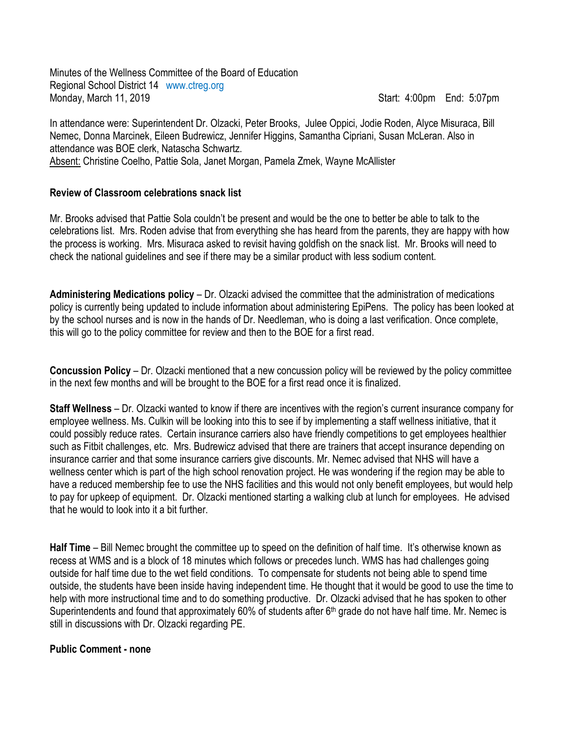Minutes of the Wellness Committee of the Board of Education Regional School District 14 www.ctreg.org Monday, March 11, 2019 **Start: 4:00pm** End: 5:07pm

In attendance were: Superintendent Dr. Olzacki, Peter Brooks, Julee Oppici, Jodie Roden, Alyce Misuraca, Bill Nemec, Donna Marcinek, Eileen Budrewicz, Jennifer Higgins, Samantha Cipriani, Susan McLeran. Also in attendance was BOE clerk, Natascha Schwartz. Absent: Christine Coelho, Pattie Sola, Janet Morgan, Pamela Zmek, Wayne McAllister

## **Review of Classroom celebrations snack list**

Mr. Brooks advised that Pattie Sola couldn't be present and would be the one to better be able to talk to the celebrations list. Mrs. Roden advise that from everything she has heard from the parents, they are happy with how the process is working. Mrs. Misuraca asked to revisit having goldfish on the snack list. Mr. Brooks will need to check the national guidelines and see if there may be a similar product with less sodium content.

**Administering Medications policy** – Dr. Olzacki advised the committee that the administration of medications policy is currently being updated to include information about administering EpiPens. The policy has been looked at by the school nurses and is now in the hands of Dr. Needleman, who is doing a last verification. Once complete, this will go to the policy committee for review and then to the BOE for a first read.

**Concussion Policy** – Dr. Olzacki mentioned that a new concussion policy will be reviewed by the policy committee in the next few months and will be brought to the BOE for a first read once it is finalized.

**Staff Wellness** – Dr. Olzacki wanted to know if there are incentives with the region's current insurance company for employee wellness. Ms. Culkin will be looking into this to see if by implementing a staff wellness initiative, that it could possibly reduce rates. Certain insurance carriers also have friendly competitions to get employees healthier such as Fitbit challenges, etc. Mrs. Budrewicz advised that there are trainers that accept insurance depending on insurance carrier and that some insurance carriers give discounts. Mr. Nemec advised that NHS will have a wellness center which is part of the high school renovation project. He was wondering if the region may be able to have a reduced membership fee to use the NHS facilities and this would not only benefit employees, but would help to pay for upkeep of equipment. Dr. Olzacki mentioned starting a walking club at lunch for employees. He advised that he would to look into it a bit further.

**Half Time** – Bill Nemec brought the committee up to speed on the definition of half time. It's otherwise known as recess at WMS and is a block of 18 minutes which follows or precedes lunch. WMS has had challenges going outside for half time due to the wet field conditions. To compensate for students not being able to spend time outside, the students have been inside having independent time. He thought that it would be good to use the time to help with more instructional time and to do something productive. Dr. Olzacki advised that he has spoken to other Superintendents and found that approximately 60% of students after 6<sup>th</sup> grade do not have half time. Mr. Nemec is still in discussions with Dr. Olzacki regarding PE.

## **Public Comment - none**